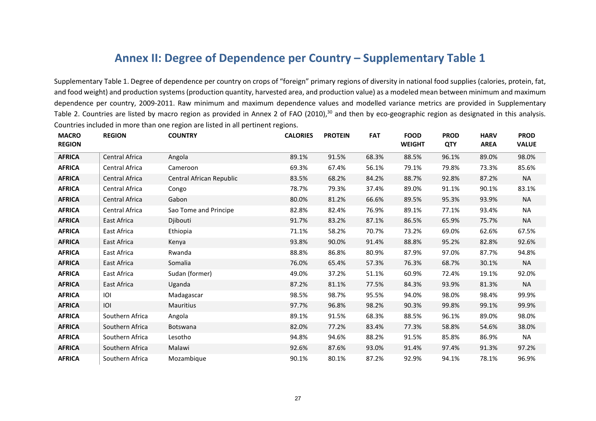## **Annex II: Degree of Dependence per Country – Supplementary Table 1**

Supplementary Table 1. Degree of dependence per country on crops of "foreign" primary regions of diversity in national food supplies (calories, protein, fat, and food weight) and production systems(production quantity, harvested area, and production value) as a modeled mean between minimum and maximum dependence per country, 2009-2011. Raw minimum and maximum dependence values and modelled variance metrics are provided in Supplementary Table 2. Countries are listed by macro region as provided in Annex 2 of FAO (2010),<sup>30</sup> and then by eco-geographic region as designated in this analysis. Countries included in more than one region are listed in all pertinent regions.

| <b>MACRO</b><br><b>REGION</b> | <b>REGION</b>         | <b>COUNTRY</b>           | <b>CALORIES</b> | <b>PROTEIN</b> | <b>FAT</b> | <b>FOOD</b><br><b>WEIGHT</b> | <b>PROD</b><br><b>QTY</b> | <b>HARV</b><br><b>AREA</b> | <b>PROD</b><br><b>VALUE</b> |
|-------------------------------|-----------------------|--------------------------|-----------------|----------------|------------|------------------------------|---------------------------|----------------------------|-----------------------------|
| <b>AFRICA</b>                 | Central Africa        | Angola                   | 89.1%           | 91.5%          | 68.3%      | 88.5%                        | 96.1%                     | 89.0%                      | 98.0%                       |
| <b>AFRICA</b>                 | Central Africa        | Cameroon                 | 69.3%           | 67.4%          | 56.1%      | 79.1%                        | 79.8%                     | 73.3%                      | 85.6%                       |
| <b>AFRICA</b>                 | Central Africa        | Central African Republic | 83.5%           | 68.2%          | 84.2%      | 88.7%                        | 92.8%                     | 87.2%                      | <b>NA</b>                   |
| <b>AFRICA</b>                 | Central Africa        | Congo                    | 78.7%           | 79.3%          | 37.4%      | 89.0%                        | 91.1%                     | 90.1%                      | 83.1%                       |
| <b>AFRICA</b>                 | <b>Central Africa</b> | Gabon                    | 80.0%           | 81.2%          | 66.6%      | 89.5%                        | 95.3%                     | 93.9%                      | <b>NA</b>                   |
| <b>AFRICA</b>                 | Central Africa        | Sao Tome and Principe    | 82.8%           | 82.4%          | 76.9%      | 89.1%                        | 77.1%                     | 93.4%                      | <b>NA</b>                   |
| <b>AFRICA</b>                 | East Africa           | Djibouti                 | 91.7%           | 83.2%          | 87.1%      | 86.5%                        | 65.9%                     | 75.7%                      | <b>NA</b>                   |
| <b>AFRICA</b>                 | East Africa           | Ethiopia                 | 71.1%           | 58.2%          | 70.7%      | 73.2%                        | 69.0%                     | 62.6%                      | 67.5%                       |
| <b>AFRICA</b>                 | East Africa           | Kenya                    | 93.8%           | 90.0%          | 91.4%      | 88.8%                        | 95.2%                     | 82.8%                      | 92.6%                       |
| <b>AFRICA</b>                 | East Africa           | Rwanda                   | 88.8%           | 86.8%          | 80.9%      | 87.9%                        | 97.0%                     | 87.7%                      | 94.8%                       |
| <b>AFRICA</b>                 | East Africa           | Somalia                  | 76.0%           | 65.4%          | 57.3%      | 76.3%                        | 68.7%                     | 30.1%                      | <b>NA</b>                   |
| <b>AFRICA</b>                 | East Africa           | Sudan (former)           | 49.0%           | 37.2%          | 51.1%      | 60.9%                        | 72.4%                     | 19.1%                      | 92.0%                       |
| <b>AFRICA</b>                 | East Africa           | Uganda                   | 87.2%           | 81.1%          | 77.5%      | 84.3%                        | 93.9%                     | 81.3%                      | NA                          |
| <b>AFRICA</b>                 | IOI                   | Madagascar               | 98.5%           | 98.7%          | 95.5%      | 94.0%                        | 98.0%                     | 98.4%                      | 99.9%                       |
| <b>AFRICA</b>                 | IOI                   | Mauritius                | 97.7%           | 96.8%          | 98.2%      | 90.3%                        | 99.8%                     | 99.1%                      | 99.9%                       |
| <b>AFRICA</b>                 | Southern Africa       | Angola                   | 89.1%           | 91.5%          | 68.3%      | 88.5%                        | 96.1%                     | 89.0%                      | 98.0%                       |
| <b>AFRICA</b>                 | Southern Africa       | Botswana                 | 82.0%           | 77.2%          | 83.4%      | 77.3%                        | 58.8%                     | 54.6%                      | 38.0%                       |
| <b>AFRICA</b>                 | Southern Africa       | Lesotho                  | 94.8%           | 94.6%          | 88.2%      | 91.5%                        | 85.8%                     | 86.9%                      | NA                          |
| <b>AFRICA</b>                 | Southern Africa       | Malawi                   | 92.6%           | 87.6%          | 93.0%      | 91.4%                        | 97.4%                     | 91.3%                      | 97.2%                       |
| <b>AFRICA</b>                 | Southern Africa       | Mozambique               | 90.1%           | 80.1%          | 87.2%      | 92.9%                        | 94.1%                     | 78.1%                      | 96.9%                       |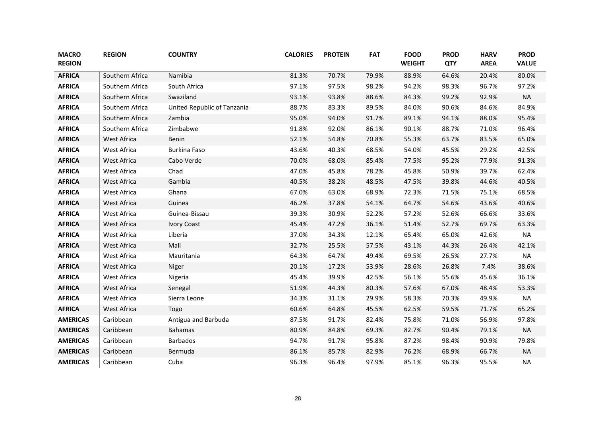| <b>MACRO</b><br><b>REGION</b> | <b>REGION</b>   | <b>COUNTRY</b>              | <b>CALORIES</b> | <b>PROTEIN</b> | <b>FAT</b> | <b>FOOD</b><br><b>WEIGHT</b> | <b>PROD</b><br><b>QTY</b> | <b>HARV</b><br><b>AREA</b> | <b>PROD</b><br><b>VALUE</b> |
|-------------------------------|-----------------|-----------------------------|-----------------|----------------|------------|------------------------------|---------------------------|----------------------------|-----------------------------|
| <b>AFRICA</b>                 | Southern Africa | Namibia                     | 81.3%           | 70.7%          | 79.9%      | 88.9%                        | 64.6%                     | 20.4%                      | 80.0%                       |
| <b>AFRICA</b>                 | Southern Africa | South Africa                | 97.1%           | 97.5%          | 98.2%      | 94.2%                        | 98.3%                     | 96.7%                      | 97.2%                       |
| <b>AFRICA</b>                 | Southern Africa | Swaziland                   | 93.1%           | 93.8%          | 88.6%      | 84.3%                        | 99.2%                     | 92.9%                      | <b>NA</b>                   |
| <b>AFRICA</b>                 | Southern Africa | United Republic of Tanzania | 88.7%           | 83.3%          | 89.5%      | 84.0%                        | 90.6%                     | 84.6%                      | 84.9%                       |
| <b>AFRICA</b>                 | Southern Africa | Zambia                      | 95.0%           | 94.0%          | 91.7%      | 89.1%                        | 94.1%                     | 88.0%                      | 95.4%                       |
| <b>AFRICA</b>                 | Southern Africa | Zimbabwe                    | 91.8%           | 92.0%          | 86.1%      | 90.1%                        | 88.7%                     | 71.0%                      | 96.4%                       |
| <b>AFRICA</b>                 | West Africa     | Benin                       | 52.1%           | 54.8%          | 70.8%      | 55.3%                        | 63.7%                     | 83.5%                      | 65.0%                       |
| <b>AFRICA</b>                 | West Africa     | <b>Burkina Faso</b>         | 43.6%           | 40.3%          | 68.5%      | 54.0%                        | 45.5%                     | 29.2%                      | 42.5%                       |
| <b>AFRICA</b>                 | West Africa     | Cabo Verde                  | 70.0%           | 68.0%          | 85.4%      | 77.5%                        | 95.2%                     | 77.9%                      | 91.3%                       |
| <b>AFRICA</b>                 | West Africa     | Chad                        | 47.0%           | 45.8%          | 78.2%      | 45.8%                        | 50.9%                     | 39.7%                      | 62.4%                       |
| <b>AFRICA</b>                 | West Africa     | Gambia                      | 40.5%           | 38.2%          | 48.5%      | 47.5%                        | 39.8%                     | 44.6%                      | 40.5%                       |
| <b>AFRICA</b>                 | West Africa     | Ghana                       | 67.0%           | 63.0%          | 68.9%      | 72.3%                        | 71.5%                     | 75.1%                      | 68.5%                       |
| <b>AFRICA</b>                 | West Africa     | Guinea                      | 46.2%           | 37.8%          | 54.1%      | 64.7%                        | 54.6%                     | 43.6%                      | 40.6%                       |
| <b>AFRICA</b>                 | West Africa     | Guinea-Bissau               | 39.3%           | 30.9%          | 52.2%      | 57.2%                        | 52.6%                     | 66.6%                      | 33.6%                       |
| <b>AFRICA</b>                 | West Africa     | <b>Ivory Coast</b>          | 45.4%           | 47.2%          | 36.1%      | 51.4%                        | 52.7%                     | 69.7%                      | 63.3%                       |
| <b>AFRICA</b>                 | West Africa     | Liberia                     | 37.0%           | 34.3%          | 12.1%      | 65.4%                        | 65.0%                     | 42.6%                      | <b>NA</b>                   |
| <b>AFRICA</b>                 | West Africa     | Mali                        | 32.7%           | 25.5%          | 57.5%      | 43.1%                        | 44.3%                     | 26.4%                      | 42.1%                       |
| <b>AFRICA</b>                 | West Africa     | Mauritania                  | 64.3%           | 64.7%          | 49.4%      | 69.5%                        | 26.5%                     | 27.7%                      | <b>NA</b>                   |
| <b>AFRICA</b>                 | West Africa     | Niger                       | 20.1%           | 17.2%          | 53.9%      | 28.6%                        | 26.8%                     | 7.4%                       | 38.6%                       |
| <b>AFRICA</b>                 | West Africa     | Nigeria                     | 45.4%           | 39.9%          | 42.5%      | 56.1%                        | 55.6%                     | 45.6%                      | 36.1%                       |
| <b>AFRICA</b>                 | West Africa     | Senegal                     | 51.9%           | 44.3%          | 80.3%      | 57.6%                        | 67.0%                     | 48.4%                      | 53.3%                       |
| <b>AFRICA</b>                 | West Africa     | Sierra Leone                | 34.3%           | 31.1%          | 29.9%      | 58.3%                        | 70.3%                     | 49.9%                      | <b>NA</b>                   |
| <b>AFRICA</b>                 | West Africa     | Togo                        | 60.6%           | 64.8%          | 45.5%      | 62.5%                        | 59.5%                     | 71.7%                      | 65.2%                       |
| <b>AMERICAS</b>               | Caribbean       | Antigua and Barbuda         | 87.5%           | 91.7%          | 82.4%      | 75.8%                        | 71.0%                     | 56.9%                      | 97.8%                       |
| <b>AMERICAS</b>               | Caribbean       | <b>Bahamas</b>              | 80.9%           | 84.8%          | 69.3%      | 82.7%                        | 90.4%                     | 79.1%                      | <b>NA</b>                   |
| <b>AMERICAS</b>               | Caribbean       | <b>Barbados</b>             | 94.7%           | 91.7%          | 95.8%      | 87.2%                        | 98.4%                     | 90.9%                      | 79.8%                       |
| <b>AMERICAS</b>               | Caribbean       | Bermuda                     | 86.1%           | 85.7%          | 82.9%      | 76.2%                        | 68.9%                     | 66.7%                      | <b>NA</b>                   |
| <b>AMERICAS</b>               | Caribbean       | Cuba                        | 96.3%           | 96.4%          | 97.9%      | 85.1%                        | 96.3%                     | 95.5%                      | <b>NA</b>                   |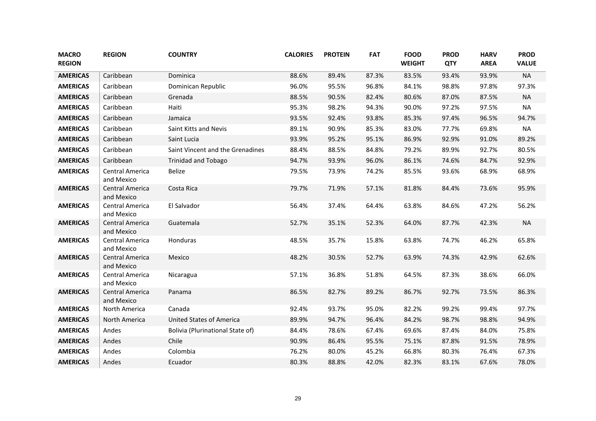| <b>MACRO</b><br><b>REGION</b> | <b>REGION</b>                        | <b>COUNTRY</b>                   | <b>CALORIES</b> | <b>PROTEIN</b> | <b>FAT</b> | <b>FOOD</b><br><b>WEIGHT</b> | <b>PROD</b><br><b>QTY</b> | <b>HARV</b><br><b>AREA</b> | <b>PROD</b><br><b>VALUE</b> |
|-------------------------------|--------------------------------------|----------------------------------|-----------------|----------------|------------|------------------------------|---------------------------|----------------------------|-----------------------------|
| <b>AMERICAS</b>               | Caribbean                            | Dominica                         | 88.6%           | 89.4%          | 87.3%      | 83.5%                        | 93.4%                     | 93.9%                      | <b>NA</b>                   |
| <b>AMERICAS</b>               | Caribbean                            | Dominican Republic               | 96.0%           | 95.5%          | 96.8%      | 84.1%                        | 98.8%                     | 97.8%                      | 97.3%                       |
| <b>AMERICAS</b>               | Caribbean                            | Grenada                          | 88.5%           | 90.5%          | 82.4%      | 80.6%                        | 87.0%                     | 87.5%                      | <b>NA</b>                   |
| <b>AMERICAS</b>               | Caribbean                            | Haiti                            | 95.3%           | 98.2%          | 94.3%      | 90.0%                        | 97.2%                     | 97.5%                      | <b>NA</b>                   |
| <b>AMERICAS</b>               | Caribbean                            | Jamaica                          | 93.5%           | 92.4%          | 93.8%      | 85.3%                        | 97.4%                     | 96.5%                      | 94.7%                       |
| <b>AMERICAS</b>               | Caribbean                            | Saint Kitts and Nevis            | 89.1%           | 90.9%          | 85.3%      | 83.0%                        | 77.7%                     | 69.8%                      | <b>NA</b>                   |
| <b>AMERICAS</b>               | Caribbean                            | Saint Lucia                      | 93.9%           | 95.2%          | 95.1%      | 86.9%                        | 92.9%                     | 91.0%                      | 89.2%                       |
| <b>AMERICAS</b>               | Caribbean                            | Saint Vincent and the Grenadines | 88.4%           | 88.5%          | 84.8%      | 79.2%                        | 89.9%                     | 92.7%                      | 80.5%                       |
| <b>AMERICAS</b>               | Caribbean                            | <b>Trinidad and Tobago</b>       | 94.7%           | 93.9%          | 96.0%      | 86.1%                        | 74.6%                     | 84.7%                      | 92.9%                       |
| <b>AMERICAS</b>               | <b>Central America</b><br>and Mexico | Belize                           | 79.5%           | 73.9%          | 74.2%      | 85.5%                        | 93.6%                     | 68.9%                      | 68.9%                       |
| <b>AMERICAS</b>               | Central America<br>and Mexico        | Costa Rica                       | 79.7%           | 71.9%          | 57.1%      | 81.8%                        | 84.4%                     | 73.6%                      | 95.9%                       |
| <b>AMERICAS</b>               | Central America<br>and Mexico        | El Salvador                      | 56.4%           | 37.4%          | 64.4%      | 63.8%                        | 84.6%                     | 47.2%                      | 56.2%                       |
| <b>AMERICAS</b>               | <b>Central America</b><br>and Mexico | Guatemala                        | 52.7%           | 35.1%          | 52.3%      | 64.0%                        | 87.7%                     | 42.3%                      | <b>NA</b>                   |
| <b>AMERICAS</b>               | Central America<br>and Mexico        | Honduras                         | 48.5%           | 35.7%          | 15.8%      | 63.8%                        | 74.7%                     | 46.2%                      | 65.8%                       |
| <b>AMERICAS</b>               | Central America<br>and Mexico        | Mexico                           | 48.2%           | 30.5%          | 52.7%      | 63.9%                        | 74.3%                     | 42.9%                      | 62.6%                       |
| <b>AMERICAS</b>               | Central America<br>and Mexico        | Nicaragua                        | 57.1%           | 36.8%          | 51.8%      | 64.5%                        | 87.3%                     | 38.6%                      | 66.0%                       |
| <b>AMERICAS</b>               | <b>Central America</b><br>and Mexico | Panama                           | 86.5%           | 82.7%          | 89.2%      | 86.7%                        | 92.7%                     | 73.5%                      | 86.3%                       |
| <b>AMERICAS</b>               | North America                        | Canada                           | 92.4%           | 93.7%          | 95.0%      | 82.2%                        | 99.2%                     | 99.4%                      | 97.7%                       |
| <b>AMERICAS</b>               | North America                        | <b>United States of America</b>  | 89.9%           | 94.7%          | 96.4%      | 84.2%                        | 98.7%                     | 98.8%                      | 94.9%                       |
| <b>AMERICAS</b>               | Andes                                | Bolivia (Plurinational State of) | 84.4%           | 78.6%          | 67.4%      | 69.6%                        | 87.4%                     | 84.0%                      | 75.8%                       |
| <b>AMERICAS</b>               | Andes                                | Chile                            | 90.9%           | 86.4%          | 95.5%      | 75.1%                        | 87.8%                     | 91.5%                      | 78.9%                       |
| <b>AMERICAS</b>               | Andes                                | Colombia                         | 76.2%           | 80.0%          | 45.2%      | 66.8%                        | 80.3%                     | 76.4%                      | 67.3%                       |
| <b>AMERICAS</b>               | Andes                                | Ecuador                          | 80.3%           | 88.8%          | 42.0%      | 82.3%                        | 83.1%                     | 67.6%                      | 78.0%                       |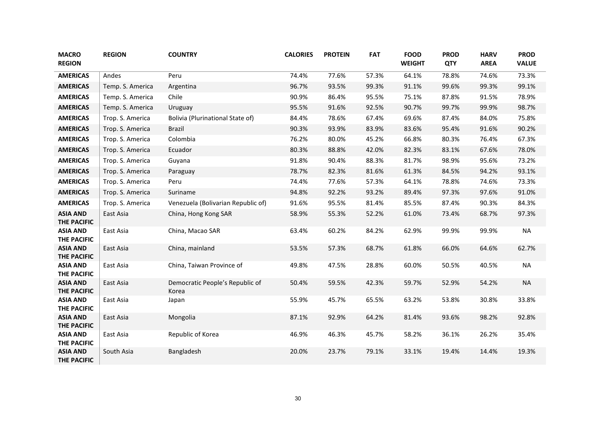| <b>MACRO</b><br><b>REGION</b>         | <b>REGION</b>    | <b>COUNTRY</b>                           | <b>CALORIES</b> | <b>PROTEIN</b> | <b>FAT</b> | <b>FOOD</b><br><b>WEIGHT</b> | <b>PROD</b><br><b>QTY</b> | <b>HARV</b><br><b>AREA</b> | <b>PROD</b><br><b>VALUE</b> |
|---------------------------------------|------------------|------------------------------------------|-----------------|----------------|------------|------------------------------|---------------------------|----------------------------|-----------------------------|
| <b>AMERICAS</b>                       | Andes            | Peru                                     | 74.4%           | 77.6%          | 57.3%      | 64.1%                        | 78.8%                     | 74.6%                      | 73.3%                       |
| <b>AMERICAS</b>                       | Temp. S. America | Argentina                                | 96.7%           | 93.5%          | 99.3%      | 91.1%                        | 99.6%                     | 99.3%                      | 99.1%                       |
| <b>AMERICAS</b>                       | Temp. S. America | Chile                                    | 90.9%           | 86.4%          | 95.5%      | 75.1%                        | 87.8%                     | 91.5%                      | 78.9%                       |
| <b>AMERICAS</b>                       | Temp. S. America | Uruguay                                  | 95.5%           | 91.6%          | 92.5%      | 90.7%                        | 99.7%                     | 99.9%                      | 98.7%                       |
| <b>AMERICAS</b>                       | Trop. S. America | <b>Bolivia (Plurinational State of)</b>  | 84.4%           | 78.6%          | 67.4%      | 69.6%                        | 87.4%                     | 84.0%                      | 75.8%                       |
| <b>AMERICAS</b>                       | Trop. S. America | <b>Brazil</b>                            | 90.3%           | 93.9%          | 83.9%      | 83.6%                        | 95.4%                     | 91.6%                      | 90.2%                       |
| <b>AMERICAS</b>                       | Trop. S. America | Colombia                                 | 76.2%           | 80.0%          | 45.2%      | 66.8%                        | 80.3%                     | 76.4%                      | 67.3%                       |
| <b>AMERICAS</b>                       | Trop. S. America | Ecuador                                  | 80.3%           | 88.8%          | 42.0%      | 82.3%                        | 83.1%                     | 67.6%                      | 78.0%                       |
| <b>AMERICAS</b>                       | Trop. S. America | Guyana                                   | 91.8%           | 90.4%          | 88.3%      | 81.7%                        | 98.9%                     | 95.6%                      | 73.2%                       |
| <b>AMERICAS</b>                       | Trop. S. America | Paraguay                                 | 78.7%           | 82.3%          | 81.6%      | 61.3%                        | 84.5%                     | 94.2%                      | 93.1%                       |
| <b>AMERICAS</b>                       | Trop. S. America | Peru                                     | 74.4%           | 77.6%          | 57.3%      | 64.1%                        | 78.8%                     | 74.6%                      | 73.3%                       |
| <b>AMERICAS</b>                       | Trop. S. America | Suriname                                 | 94.8%           | 92.2%          | 93.2%      | 89.4%                        | 97.3%                     | 97.6%                      | 91.0%                       |
| <b>AMERICAS</b>                       | Trop. S. America | Venezuela (Bolivarian Republic of)       | 91.6%           | 95.5%          | 81.4%      | 85.5%                        | 87.4%                     | 90.3%                      | 84.3%                       |
| <b>ASIA AND</b><br>THE PACIFIC        | East Asia        | China, Hong Kong SAR                     | 58.9%           | 55.3%          | 52.2%      | 61.0%                        | 73.4%                     | 68.7%                      | 97.3%                       |
| <b>ASIA AND</b><br><b>THE PACIFIC</b> | East Asia        | China, Macao SAR                         | 63.4%           | 60.2%          | 84.2%      | 62.9%                        | 99.9%                     | 99.9%                      | <b>NA</b>                   |
| <b>ASIA AND</b><br><b>THE PACIFIC</b> | East Asia        | China, mainland                          | 53.5%           | 57.3%          | 68.7%      | 61.8%                        | 66.0%                     | 64.6%                      | 62.7%                       |
| <b>ASIA AND</b><br><b>THE PACIFIC</b> | East Asia        | China, Taiwan Province of                | 49.8%           | 47.5%          | 28.8%      | 60.0%                        | 50.5%                     | 40.5%                      | <b>NA</b>                   |
| <b>ASIA AND</b><br><b>THE PACIFIC</b> | East Asia        | Democratic People's Republic of<br>Korea | 50.4%           | 59.5%          | 42.3%      | 59.7%                        | 52.9%                     | 54.2%                      | <b>NA</b>                   |
| <b>ASIA AND</b><br><b>THE PACIFIC</b> | East Asia        | Japan                                    | 55.9%           | 45.7%          | 65.5%      | 63.2%                        | 53.8%                     | 30.8%                      | 33.8%                       |
| <b>ASIA AND</b><br><b>THE PACIFIC</b> | East Asia        | Mongolia                                 | 87.1%           | 92.9%          | 64.2%      | 81.4%                        | 93.6%                     | 98.2%                      | 92.8%                       |
| <b>ASIA AND</b><br><b>THE PACIFIC</b> | East Asia        | Republic of Korea                        | 46.9%           | 46.3%          | 45.7%      | 58.2%                        | 36.1%                     | 26.2%                      | 35.4%                       |
| <b>ASIA AND</b><br><b>THE PACIFIC</b> | South Asia       | Bangladesh                               | 20.0%           | 23.7%          | 79.1%      | 33.1%                        | 19.4%                     | 14.4%                      | 19.3%                       |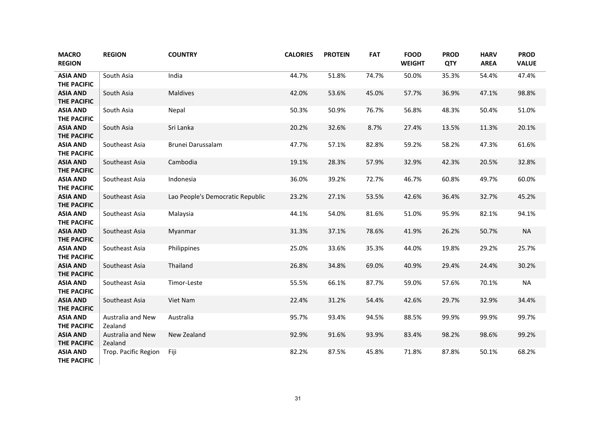| <b>MACRO</b><br><b>REGION</b>         | <b>REGION</b>                | <b>COUNTRY</b>                   | <b>CALORIES</b> | <b>PROTEIN</b> | <b>FAT</b> | <b>FOOD</b><br><b>WEIGHT</b> | <b>PROD</b><br><b>QTY</b> | <b>HARV</b><br><b>AREA</b> | <b>PROD</b><br><b>VALUE</b> |
|---------------------------------------|------------------------------|----------------------------------|-----------------|----------------|------------|------------------------------|---------------------------|----------------------------|-----------------------------|
| <b>ASIA AND</b><br><b>THE PACIFIC</b> | South Asia                   | India                            | 44.7%           | 51.8%          | 74.7%      | 50.0%                        | 35.3%                     | 54.4%                      | 47.4%                       |
| <b>ASIA AND</b><br><b>THE PACIFIC</b> | South Asia                   | Maldives                         | 42.0%           | 53.6%          | 45.0%      | 57.7%                        | 36.9%                     | 47.1%                      | 98.8%                       |
| <b>ASIA AND</b><br><b>THE PACIFIC</b> | South Asia                   | Nepal                            | 50.3%           | 50.9%          | 76.7%      | 56.8%                        | 48.3%                     | 50.4%                      | 51.0%                       |
| <b>ASIA AND</b><br><b>THE PACIFIC</b> | South Asia                   | Sri Lanka                        | 20.2%           | 32.6%          | 8.7%       | 27.4%                        | 13.5%                     | 11.3%                      | 20.1%                       |
| <b>ASIA AND</b><br><b>THE PACIFIC</b> | Southeast Asia               | Brunei Darussalam                | 47.7%           | 57.1%          | 82.8%      | 59.2%                        | 58.2%                     | 47.3%                      | 61.6%                       |
| <b>ASIA AND</b><br><b>THE PACIFIC</b> | Southeast Asia               | Cambodia                         | 19.1%           | 28.3%          | 57.9%      | 32.9%                        | 42.3%                     | 20.5%                      | 32.8%                       |
| <b>ASIA AND</b><br><b>THE PACIFIC</b> | Southeast Asia               | Indonesia                        | 36.0%           | 39.2%          | 72.7%      | 46.7%                        | 60.8%                     | 49.7%                      | 60.0%                       |
| <b>ASIA AND</b><br><b>THE PACIFIC</b> | Southeast Asia               | Lao People's Democratic Republic | 23.2%           | 27.1%          | 53.5%      | 42.6%                        | 36.4%                     | 32.7%                      | 45.2%                       |
| <b>ASIA AND</b><br><b>THE PACIFIC</b> | Southeast Asia               | Malaysia                         | 44.1%           | 54.0%          | 81.6%      | 51.0%                        | 95.9%                     | 82.1%                      | 94.1%                       |
| <b>ASIA AND</b><br><b>THE PACIFIC</b> | Southeast Asia               | Myanmar                          | 31.3%           | 37.1%          | 78.6%      | 41.9%                        | 26.2%                     | 50.7%                      | <b>NA</b>                   |
| <b>ASIA AND</b><br><b>THE PACIFIC</b> | Southeast Asia               | Philippines                      | 25.0%           | 33.6%          | 35.3%      | 44.0%                        | 19.8%                     | 29.2%                      | 25.7%                       |
| <b>ASIA AND</b><br><b>THE PACIFIC</b> | Southeast Asia               | Thailand                         | 26.8%           | 34.8%          | 69.0%      | 40.9%                        | 29.4%                     | 24.4%                      | 30.2%                       |
| <b>ASIA AND</b><br><b>THE PACIFIC</b> | Southeast Asia               | Timor-Leste                      | 55.5%           | 66.1%          | 87.7%      | 59.0%                        | 57.6%                     | 70.1%                      | <b>NA</b>                   |
| <b>ASIA AND</b><br><b>THE PACIFIC</b> | Southeast Asia               | Viet Nam                         | 22.4%           | 31.2%          | 54.4%      | 42.6%                        | 29.7%                     | 32.9%                      | 34.4%                       |
| <b>ASIA AND</b><br><b>THE PACIFIC</b> | Australia and New<br>Zealand | Australia                        | 95.7%           | 93.4%          | 94.5%      | 88.5%                        | 99.9%                     | 99.9%                      | 99.7%                       |
| <b>ASIA AND</b><br><b>THE PACIFIC</b> | Australia and New<br>Zealand | New Zealand                      | 92.9%           | 91.6%          | 93.9%      | 83.4%                        | 98.2%                     | 98.6%                      | 99.2%                       |
| <b>ASIA AND</b><br><b>THE PACIFIC</b> | Trop. Pacific Region         | Fiji                             | 82.2%           | 87.5%          | 45.8%      | 71.8%                        | 87.8%                     | 50.1%                      | 68.2%                       |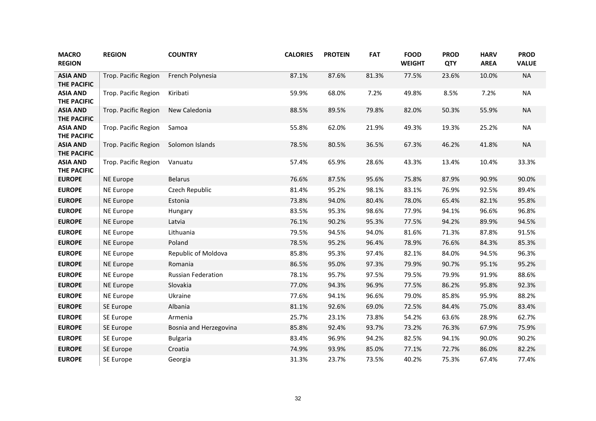| <b>MACRO</b><br><b>REGION</b>         | <b>REGION</b>        | <b>COUNTRY</b>            | <b>CALORIES</b> | <b>PROTEIN</b> | <b>FAT</b> | <b>FOOD</b><br><b>WEIGHT</b> | <b>PROD</b><br><b>QTY</b> | <b>HARV</b><br><b>AREA</b> | <b>PROD</b><br><b>VALUE</b> |
|---------------------------------------|----------------------|---------------------------|-----------------|----------------|------------|------------------------------|---------------------------|----------------------------|-----------------------------|
| <b>ASIA AND</b><br><b>THE PACIFIC</b> | Trop. Pacific Region | French Polynesia          | 87.1%           | 87.6%          | 81.3%      | 77.5%                        | 23.6%                     | 10.0%                      | <b>NA</b>                   |
| <b>ASIA AND</b><br><b>THE PACIFIC</b> | Trop. Pacific Region | Kiribati                  | 59.9%           | 68.0%          | 7.2%       | 49.8%                        | 8.5%                      | 7.2%                       | <b>NA</b>                   |
| <b>ASIA AND</b><br><b>THE PACIFIC</b> | Trop. Pacific Region | New Caledonia             | 88.5%           | 89.5%          | 79.8%      | 82.0%                        | 50.3%                     | 55.9%                      | <b>NA</b>                   |
| <b>ASIA AND</b><br><b>THE PACIFIC</b> | Trop. Pacific Region | Samoa                     | 55.8%           | 62.0%          | 21.9%      | 49.3%                        | 19.3%                     | 25.2%                      | <b>NA</b>                   |
| <b>ASIA AND</b><br><b>THE PACIFIC</b> | Trop. Pacific Region | Solomon Islands           | 78.5%           | 80.5%          | 36.5%      | 67.3%                        | 46.2%                     | 41.8%                      | <b>NA</b>                   |
| <b>ASIA AND</b><br><b>THE PACIFIC</b> | Trop. Pacific Region | Vanuatu                   | 57.4%           | 65.9%          | 28.6%      | 43.3%                        | 13.4%                     | 10.4%                      | 33.3%                       |
| <b>EUROPE</b>                         | NE Europe            | <b>Belarus</b>            | 76.6%           | 87.5%          | 95.6%      | 75.8%                        | 87.9%                     | 90.9%                      | 90.0%                       |
| <b>EUROPE</b>                         | <b>NE Europe</b>     | Czech Republic            | 81.4%           | 95.2%          | 98.1%      | 83.1%                        | 76.9%                     | 92.5%                      | 89.4%                       |
| <b>EUROPE</b>                         | <b>NE Europe</b>     | Estonia                   | 73.8%           | 94.0%          | 80.4%      | 78.0%                        | 65.4%                     | 82.1%                      | 95.8%                       |
| <b>EUROPE</b>                         | <b>NE Europe</b>     | Hungary                   | 83.5%           | 95.3%          | 98.6%      | 77.9%                        | 94.1%                     | 96.6%                      | 96.8%                       |
| <b>EUROPE</b>                         | <b>NE Europe</b>     | Latvia                    | 76.1%           | 90.2%          | 95.3%      | 77.5%                        | 94.2%                     | 89.9%                      | 94.5%                       |
| <b>EUROPE</b>                         | <b>NE Europe</b>     | Lithuania                 | 79.5%           | 94.5%          | 94.0%      | 81.6%                        | 71.3%                     | 87.8%                      | 91.5%                       |
| <b>EUROPE</b>                         | <b>NE Europe</b>     | Poland                    | 78.5%           | 95.2%          | 96.4%      | 78.9%                        | 76.6%                     | 84.3%                      | 85.3%                       |
| <b>EUROPE</b>                         | <b>NE Europe</b>     | Republic of Moldova       | 85.8%           | 95.3%          | 97.4%      | 82.1%                        | 84.0%                     | 94.5%                      | 96.3%                       |
| <b>EUROPE</b>                         | <b>NE Europe</b>     | Romania                   | 86.5%           | 95.0%          | 97.3%      | 79.9%                        | 90.7%                     | 95.1%                      | 95.2%                       |
| <b>EUROPE</b>                         | <b>NE Europe</b>     | <b>Russian Federation</b> | 78.1%           | 95.7%          | 97.5%      | 79.5%                        | 79.9%                     | 91.9%                      | 88.6%                       |
| <b>EUROPE</b>                         | <b>NE Europe</b>     | Slovakia                  | 77.0%           | 94.3%          | 96.9%      | 77.5%                        | 86.2%                     | 95.8%                      | 92.3%                       |
| <b>EUROPE</b>                         | <b>NE Europe</b>     | Ukraine                   | 77.6%           | 94.1%          | 96.6%      | 79.0%                        | 85.8%                     | 95.9%                      | 88.2%                       |
| <b>EUROPE</b>                         | SE Europe            | Albania                   | 81.1%           | 92.6%          | 69.0%      | 72.5%                        | 84.4%                     | 75.0%                      | 83.4%                       |
| <b>EUROPE</b>                         | SE Europe            | Armenia                   | 25.7%           | 23.1%          | 73.8%      | 54.2%                        | 63.6%                     | 28.9%                      | 62.7%                       |
| <b>EUROPE</b>                         | SE Europe            | Bosnia and Herzegovina    | 85.8%           | 92.4%          | 93.7%      | 73.2%                        | 76.3%                     | 67.9%                      | 75.9%                       |
| <b>EUROPE</b>                         | SE Europe            | <b>Bulgaria</b>           | 83.4%           | 96.9%          | 94.2%      | 82.5%                        | 94.1%                     | 90.0%                      | 90.2%                       |
| <b>EUROPE</b>                         | SE Europe            | Croatia                   | 74.9%           | 93.9%          | 85.0%      | 77.1%                        | 72.7%                     | 86.0%                      | 82.2%                       |
| <b>EUROPE</b>                         | SE Europe            | Georgia                   | 31.3%           | 23.7%          | 73.5%      | 40.2%                        | 75.3%                     | 67.4%                      | 77.4%                       |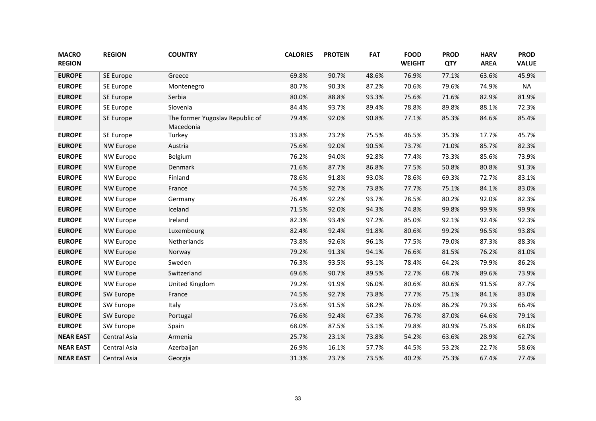| <b>MACRO</b><br><b>REGION</b> | <b>REGION</b>    | <b>COUNTRY</b>                               | <b>CALORIES</b> | <b>PROTEIN</b> | <b>FAT</b> | <b>FOOD</b><br><b>WEIGHT</b> | <b>PROD</b><br>QTY | <b>HARV</b><br><b>AREA</b> | <b>PROD</b><br><b>VALUE</b> |
|-------------------------------|------------------|----------------------------------------------|-----------------|----------------|------------|------------------------------|--------------------|----------------------------|-----------------------------|
| <b>EUROPE</b>                 | SE Europe        | Greece                                       | 69.8%           | 90.7%          | 48.6%      | 76.9%                        | 77.1%              | 63.6%                      | 45.9%                       |
| <b>EUROPE</b>                 | SE Europe        | Montenegro                                   | 80.7%           | 90.3%          | 87.2%      | 70.6%                        | 79.6%              | 74.9%                      | <b>NA</b>                   |
| <b>EUROPE</b>                 | SE Europe        | Serbia                                       | 80.0%           | 88.8%          | 93.3%      | 75.6%                        | 71.6%              | 82.9%                      | 81.9%                       |
| <b>EUROPE</b>                 | SE Europe        | Slovenia                                     | 84.4%           | 93.7%          | 89.4%      | 78.8%                        | 89.8%              | 88.1%                      | 72.3%                       |
| <b>EUROPE</b>                 | SE Europe        | The former Yugoslav Republic of<br>Macedonia | 79.4%           | 92.0%          | 90.8%      | 77.1%                        | 85.3%              | 84.6%                      | 85.4%                       |
| <b>EUROPE</b>                 | SE Europe        | Turkey                                       | 33.8%           | 23.2%          | 75.5%      | 46.5%                        | 35.3%              | 17.7%                      | 45.7%                       |
| <b>EUROPE</b>                 | <b>NW Europe</b> | Austria                                      | 75.6%           | 92.0%          | 90.5%      | 73.7%                        | 71.0%              | 85.7%                      | 82.3%                       |
| <b>EUROPE</b>                 | NW Europe        | Belgium                                      | 76.2%           | 94.0%          | 92.8%      | 77.4%                        | 73.3%              | 85.6%                      | 73.9%                       |
| <b>EUROPE</b>                 | <b>NW Europe</b> | Denmark                                      | 71.6%           | 87.7%          | 86.8%      | 77.5%                        | 50.8%              | 80.8%                      | 91.3%                       |
| <b>EUROPE</b>                 | NW Europe        | Finland                                      | 78.6%           | 91.8%          | 93.0%      | 78.6%                        | 69.3%              | 72.7%                      | 83.1%                       |
| <b>EUROPE</b>                 | <b>NW Europe</b> | France                                       | 74.5%           | 92.7%          | 73.8%      | 77.7%                        | 75.1%              | 84.1%                      | 83.0%                       |
| <b>EUROPE</b>                 | NW Europe        | Germany                                      | 76.4%           | 92.2%          | 93.7%      | 78.5%                        | 80.2%              | 92.0%                      | 82.3%                       |
| <b>EUROPE</b>                 | <b>NW Europe</b> | Iceland                                      | 71.5%           | 92.0%          | 94.3%      | 74.8%                        | 99.8%              | 99.9%                      | 99.9%                       |
| <b>EUROPE</b>                 | NW Europe        | Ireland                                      | 82.3%           | 93.4%          | 97.2%      | 85.0%                        | 92.1%              | 92.4%                      | 92.3%                       |
| <b>EUROPE</b>                 | <b>NW Europe</b> | Luxembourg                                   | 82.4%           | 92.4%          | 91.8%      | 80.6%                        | 99.2%              | 96.5%                      | 93.8%                       |
| <b>EUROPE</b>                 | NW Europe        | Netherlands                                  | 73.8%           | 92.6%          | 96.1%      | 77.5%                        | 79.0%              | 87.3%                      | 88.3%                       |
| <b>EUROPE</b>                 | <b>NW Europe</b> | Norway                                       | 79.2%           | 91.3%          | 94.1%      | 76.6%                        | 81.5%              | 76.2%                      | 81.0%                       |
| <b>EUROPE</b>                 | NW Europe        | Sweden                                       | 76.3%           | 93.5%          | 93.1%      | 78.4%                        | 64.2%              | 79.9%                      | 86.2%                       |
| <b>EUROPE</b>                 | <b>NW Europe</b> | Switzerland                                  | 69.6%           | 90.7%          | 89.5%      | 72.7%                        | 68.7%              | 89.6%                      | 73.9%                       |
| <b>EUROPE</b>                 | NW Europe        | United Kingdom                               | 79.2%           | 91.9%          | 96.0%      | 80.6%                        | 80.6%              | 91.5%                      | 87.7%                       |
| <b>EUROPE</b>                 | SW Europe        | France                                       | 74.5%           | 92.7%          | 73.8%      | 77.7%                        | 75.1%              | 84.1%                      | 83.0%                       |
| <b>EUROPE</b>                 | SW Europe        | Italy                                        | 73.6%           | 91.5%          | 58.2%      | 76.0%                        | 86.2%              | 79.3%                      | 66.4%                       |
| <b>EUROPE</b>                 | SW Europe        | Portugal                                     | 76.6%           | 92.4%          | 67.3%      | 76.7%                        | 87.0%              | 64.6%                      | 79.1%                       |
| <b>EUROPE</b>                 | SW Europe        | Spain                                        | 68.0%           | 87.5%          | 53.1%      | 79.8%                        | 80.9%              | 75.8%                      | 68.0%                       |
| <b>NEAR EAST</b>              | Central Asia     | Armenia                                      | 25.7%           | 23.1%          | 73.8%      | 54.2%                        | 63.6%              | 28.9%                      | 62.7%                       |
| <b>NEAR EAST</b>              | Central Asia     | Azerbaijan                                   | 26.9%           | 16.1%          | 57.7%      | 44.5%                        | 53.2%              | 22.7%                      | 58.6%                       |
| <b>NEAR EAST</b>              | Central Asia     | Georgia                                      | 31.3%           | 23.7%          | 73.5%      | 40.2%                        | 75.3%              | 67.4%                      | 77.4%                       |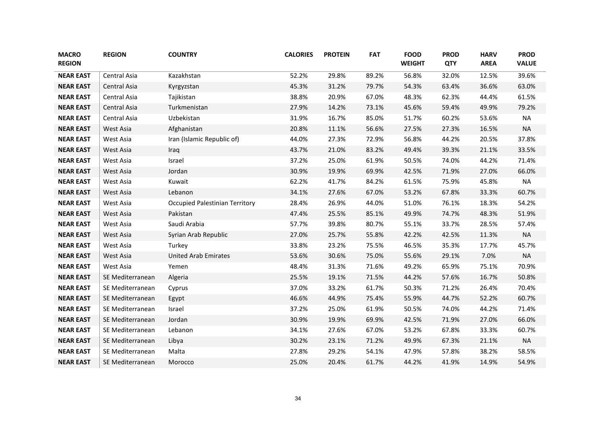| <b>MACRO</b><br><b>REGION</b> | <b>REGION</b>    | <b>COUNTRY</b>                        | <b>CALORIES</b> | <b>PROTEIN</b> | <b>FAT</b> | <b>FOOD</b><br><b>WEIGHT</b> | <b>PROD</b><br><b>QTY</b> | <b>HARV</b><br><b>AREA</b> | <b>PROD</b><br><b>VALUE</b> |
|-------------------------------|------------------|---------------------------------------|-----------------|----------------|------------|------------------------------|---------------------------|----------------------------|-----------------------------|
| <b>NEAR EAST</b>              | Central Asia     | Kazakhstan                            | 52.2%           | 29.8%          | 89.2%      | 56.8%                        | 32.0%                     | 12.5%                      | 39.6%                       |
| <b>NEAR EAST</b>              | Central Asia     | Kyrgyzstan                            | 45.3%           | 31.2%          | 79.7%      | 54.3%                        | 63.4%                     | 36.6%                      | 63.0%                       |
| <b>NEAR EAST</b>              | Central Asia     | Tajikistan                            | 38.8%           | 20.9%          | 67.0%      | 48.3%                        | 62.3%                     | 44.4%                      | 61.5%                       |
| <b>NEAR EAST</b>              | Central Asia     | Turkmenistan                          | 27.9%           | 14.2%          | 73.1%      | 45.6%                        | 59.4%                     | 49.9%                      | 79.2%                       |
| <b>NEAR EAST</b>              | Central Asia     | Uzbekistan                            | 31.9%           | 16.7%          | 85.0%      | 51.7%                        | 60.2%                     | 53.6%                      | <b>NA</b>                   |
| <b>NEAR EAST</b>              | West Asia        | Afghanistan                           | 20.8%           | 11.1%          | 56.6%      | 27.5%                        | 27.3%                     | 16.5%                      | <b>NA</b>                   |
| <b>NEAR EAST</b>              | West Asia        | Iran (Islamic Republic of)            | 44.0%           | 27.3%          | 72.9%      | 56.8%                        | 44.2%                     | 20.5%                      | 37.8%                       |
| <b>NEAR EAST</b>              | West Asia        | Iraq                                  | 43.7%           | 21.0%          | 83.2%      | 49.4%                        | 39.3%                     | 21.1%                      | 33.5%                       |
| <b>NEAR EAST</b>              | West Asia        | Israel                                | 37.2%           | 25.0%          | 61.9%      | 50.5%                        | 74.0%                     | 44.2%                      | 71.4%                       |
| <b>NEAR EAST</b>              | West Asia        | Jordan                                | 30.9%           | 19.9%          | 69.9%      | 42.5%                        | 71.9%                     | 27.0%                      | 66.0%                       |
| <b>NEAR EAST</b>              | West Asia        | Kuwait                                | 62.2%           | 41.7%          | 84.2%      | 61.5%                        | 75.9%                     | 45.8%                      | <b>NA</b>                   |
| <b>NEAR EAST</b>              | West Asia        | Lebanon                               | 34.1%           | 27.6%          | 67.0%      | 53.2%                        | 67.8%                     | 33.3%                      | 60.7%                       |
| <b>NEAR EAST</b>              | West Asia        | <b>Occupied Palestinian Territory</b> | 28.4%           | 26.9%          | 44.0%      | 51.0%                        | 76.1%                     | 18.3%                      | 54.2%                       |
| <b>NEAR EAST</b>              | West Asia        | Pakistan                              | 47.4%           | 25.5%          | 85.1%      | 49.9%                        | 74.7%                     | 48.3%                      | 51.9%                       |
| <b>NEAR EAST</b>              | West Asia        | Saudi Arabia                          | 57.7%           | 39.8%          | 80.7%      | 55.1%                        | 33.7%                     | 28.5%                      | 57.4%                       |
| <b>NEAR EAST</b>              | West Asia        | Syrian Arab Republic                  | 27.0%           | 25.7%          | 55.8%      | 42.2%                        | 42.5%                     | 11.3%                      | <b>NA</b>                   |
| <b>NEAR EAST</b>              | West Asia        | Turkey                                | 33.8%           | 23.2%          | 75.5%      | 46.5%                        | 35.3%                     | 17.7%                      | 45.7%                       |
| <b>NEAR EAST</b>              | West Asia        | <b>United Arab Emirates</b>           | 53.6%           | 30.6%          | 75.0%      | 55.6%                        | 29.1%                     | 7.0%                       | <b>NA</b>                   |
| <b>NEAR EAST</b>              | West Asia        | Yemen                                 | 48.4%           | 31.3%          | 71.6%      | 49.2%                        | 65.9%                     | 75.1%                      | 70.9%                       |
| <b>NEAR EAST</b>              | SE Mediterranean | Algeria                               | 25.5%           | 19.1%          | 71.5%      | 44.2%                        | 57.6%                     | 16.7%                      | 50.8%                       |
| <b>NEAR EAST</b>              | SE Mediterranean | Cyprus                                | 37.0%           | 33.2%          | 61.7%      | 50.3%                        | 71.2%                     | 26.4%                      | 70.4%                       |
| <b>NEAR EAST</b>              | SE Mediterranean | Egypt                                 | 46.6%           | 44.9%          | 75.4%      | 55.9%                        | 44.7%                     | 52.2%                      | 60.7%                       |
| <b>NEAR EAST</b>              | SE Mediterranean | Israel                                | 37.2%           | 25.0%          | 61.9%      | 50.5%                        | 74.0%                     | 44.2%                      | 71.4%                       |
| <b>NEAR EAST</b>              | SE Mediterranean | Jordan                                | 30.9%           | 19.9%          | 69.9%      | 42.5%                        | 71.9%                     | 27.0%                      | 66.0%                       |
| <b>NEAR EAST</b>              | SE Mediterranean | Lebanon                               | 34.1%           | 27.6%          | 67.0%      | 53.2%                        | 67.8%                     | 33.3%                      | 60.7%                       |
| <b>NEAR EAST</b>              | SE Mediterranean | Libya                                 | 30.2%           | 23.1%          | 71.2%      | 49.9%                        | 67.3%                     | 21.1%                      | <b>NA</b>                   |
| <b>NEAR EAST</b>              | SE Mediterranean | Malta                                 | 27.8%           | 29.2%          | 54.1%      | 47.9%                        | 57.8%                     | 38.2%                      | 58.5%                       |
| <b>NEAR EAST</b>              | SE Mediterranean | Morocco                               | 25.0%           | 20.4%          | 61.7%      | 44.2%                        | 41.9%                     | 14.9%                      | 54.9%                       |